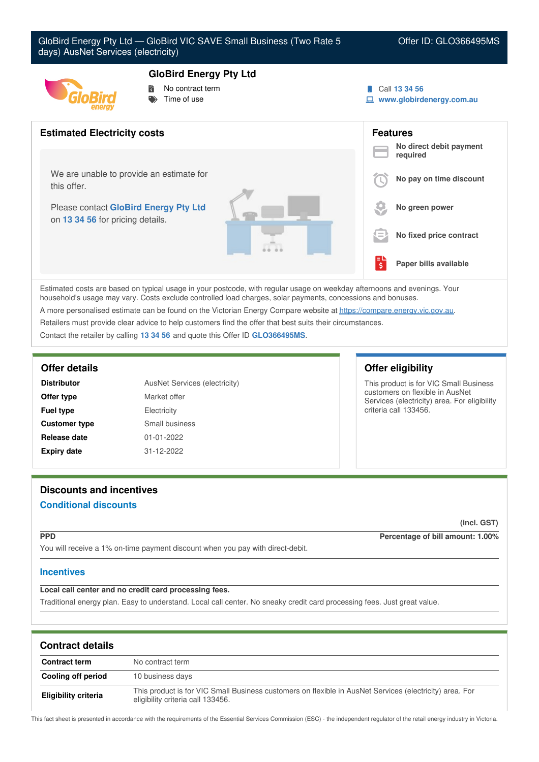

# **GloBird Energy Pty Ltd**

- No contract term
- Time of use



**www.globirdenergy.com.au**



Estimated costs are based on typical usage in your postcode, with regular usage on weekday afternoons and evenings. Your household's usage may vary. Costs exclude controlled load charges, solar payments, concessions and bonuses. A more personalised estimate can be found on the Victorian Energy Compare website at <https://compare.energy.vic.gov.au>.

Retailers must provide clear advice to help customers find the offer that best suits their circumstances.

Contact the retailer by calling **13 34 56** and quote this Offer ID **GLO366495MS**.

| <b>Distributor</b>   | AusNet Services (electricity) |
|----------------------|-------------------------------|
| Offer type           | Market offer                  |
| <b>Fuel type</b>     | Electricity                   |
| <b>Customer type</b> | Small business                |
| Release date         | $01 - 01 - 2022$              |
| <b>Expiry date</b>   | 31-12-2022                    |

## **Offer details Offer eligibility**

This product is for VIC Small Business customers on flexible in AusNet Services (electricity) area. For eligibility criteria call 133456.

# **Discounts and incentives Conditional discounts**

# **(incl. GST)**

**PPD Percentage of bill amount: 1.00%**

You will receive a 1% on-time payment discount when you pay with direct-debit.

## **Incentives**

**Local call center and no credit card processing fees.**

Traditional energy plan. Easy to understand. Local call center. No sneaky credit card processing fees. Just great value.

| <b>Contract details</b>     |                                                                                                                                              |
|-----------------------------|----------------------------------------------------------------------------------------------------------------------------------------------|
| <b>Contract term</b>        | No contract term                                                                                                                             |
| Cooling off period          | 10 business days                                                                                                                             |
| <b>Eligibility criteria</b> | This product is for VIC Small Business customers on flexible in AusNet Services (electricity) area. For<br>eligibility criteria call 133456. |

This fact sheet is presented in accordance with the requirements of the Essential Services Commission (ESC) - the independent regulator of the retail energy industry in Victoria.